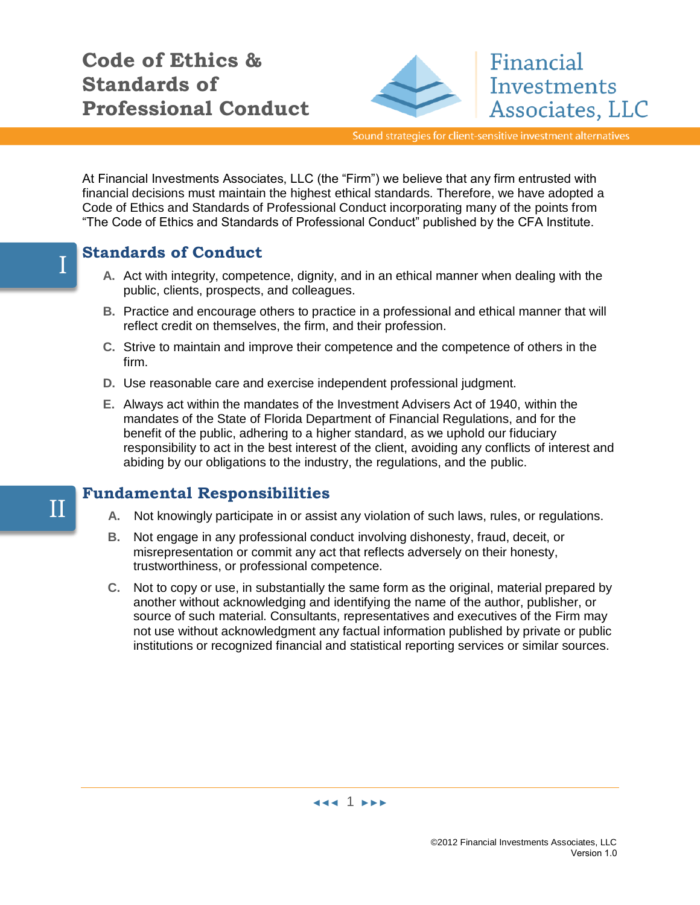

Sound strategies for client-sensitive investment alternatives

Financial

Investments

Associates, LLC

At Financial Investments Associates, LLC (the "Firm") we believe that any firm entrusted with financial decisions must maintain the highest ethical standards. Therefore, we have adopted a Code of Ethics and Standards of Professional Conduct incorporating many of the points from "The Code of Ethics and Standards of Professional Conduct" published by the CFA Institute.

# **Standards of Conduct**

- **A.** Act with integrity, competence, dignity, and in an ethical manner when dealing with the public, clients, prospects, and colleagues.
- **B.** Practice and encourage others to practice in a professional and ethical manner that will reflect credit on themselves, the firm, and their profession.
- **C.** Strive to maintain and improve their competence and the competence of others in the firm.
- **D.** Use reasonable care and exercise independent professional judgment.
- **E.** Always act within the mandates of the Investment Advisers Act of 1940, within the mandates of the State of Florida Department of Financial Regulations, and for the benefit of the public, adhering to a higher standard, as we uphold our fiduciary responsibility to act in the best interest of the client, avoiding any conflicts of interest and abiding by our obligations to the industry, the regulations, and the public.

## **Fundamental Responsibilities**

- **A.** Not knowingly participate in or assist any violation of such laws, rules, or regulations.
- **B.** Not engage in any professional conduct involving dishonesty, fraud, deceit, or misrepresentation or commit any act that reflects adversely on their honesty, trustworthiness, or professional competence.
- **C.** Not to copy or use, in substantially the same form as the original, material prepared by another without acknowledging and identifying the name of the author, publisher, or source of such material. Consultants, representatives and executives of the Firm may not use without acknowledgment any factual information published by private or public institutions or recognized financial and statistical reporting services or similar sources.

◄◄◄ 1 ►►►



II

©2012 Financial Investments Associates, LLC Version 1.0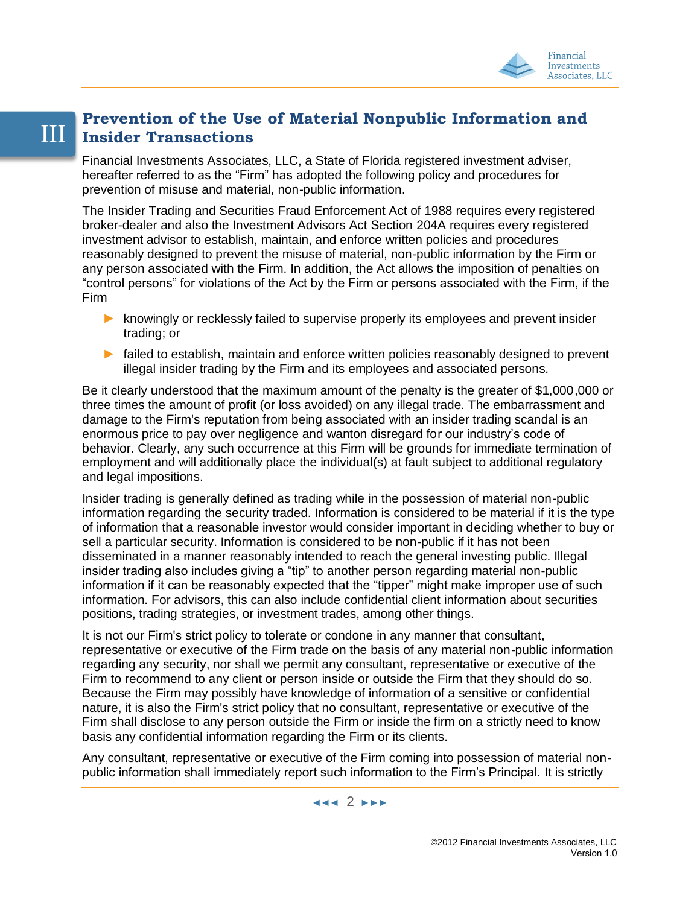

#### III **Prevention of the Use of Material Nonpublic Information and Insider Transactions**

Financial Investments Associates, LLC, a State of Florida registered investment adviser, hereafter referred to as the "Firm" has adopted the following policy and procedures for prevention of misuse and material, non-public information.

The Insider Trading and Securities Fraud Enforcement Act of 1988 requires every registered broker-dealer and also the Investment Advisors Act Section 204A requires every registered investment advisor to establish, maintain, and enforce written policies and procedures reasonably designed to prevent the misuse of material, non-public information by the Firm or any person associated with the Firm. In addition, the Act allows the imposition of penalties on "control persons" for violations of the Act by the Firm or persons associated with the Firm, if the Firm

- **►** knowingly or recklessly failed to supervise properly its employees and prevent insider trading; or
- **►** failed to establish, maintain and enforce written policies reasonably designed to prevent illegal insider trading by the Firm and its employees and associated persons.

Be it clearly understood that the maximum amount of the penalty is the greater of \$1,000,000 or three times the amount of profit (or loss avoided) on any illegal trade. The embarrassment and damage to the Firm's reputation from being associated with an insider trading scandal is an enormous price to pay over negligence and wanton disregard for our industry's code of behavior. Clearly, any such occurrence at this Firm will be grounds for immediate termination of employment and will additionally place the individual(s) at fault subject to additional regulatory and legal impositions.

Insider trading is generally defined as trading while in the possession of material non-public information regarding the security traded. Information is considered to be material if it is the type of information that a reasonable investor would consider important in deciding whether to buy or sell a particular security. Information is considered to be non-public if it has not been disseminated in a manner reasonably intended to reach the general investing public. Illegal insider trading also includes giving a "tip" to another person regarding material non-public information if it can be reasonably expected that the "tipper" might make improper use of such information. For advisors, this can also include confidential client information about securities positions, trading strategies, or investment trades, among other things.

It is not our Firm's strict policy to tolerate or condone in any manner that consultant, representative or executive of the Firm trade on the basis of any material non-public information regarding any security, nor shall we permit any consultant, representative or executive of the Firm to recommend to any client or person inside or outside the Firm that they should do so. Because the Firm may possibly have knowledge of information of a sensitive or confidential nature, it is also the Firm's strict policy that no consultant, representative or executive of the Firm shall disclose to any person outside the Firm or inside the firm on a strictly need to know basis any confidential information regarding the Firm or its clients.

Any consultant, representative or executive of the Firm coming into possession of material nonpublic information shall immediately report such information to the Firm's Principal. It is strictly

◄◄◄ 2 ►►►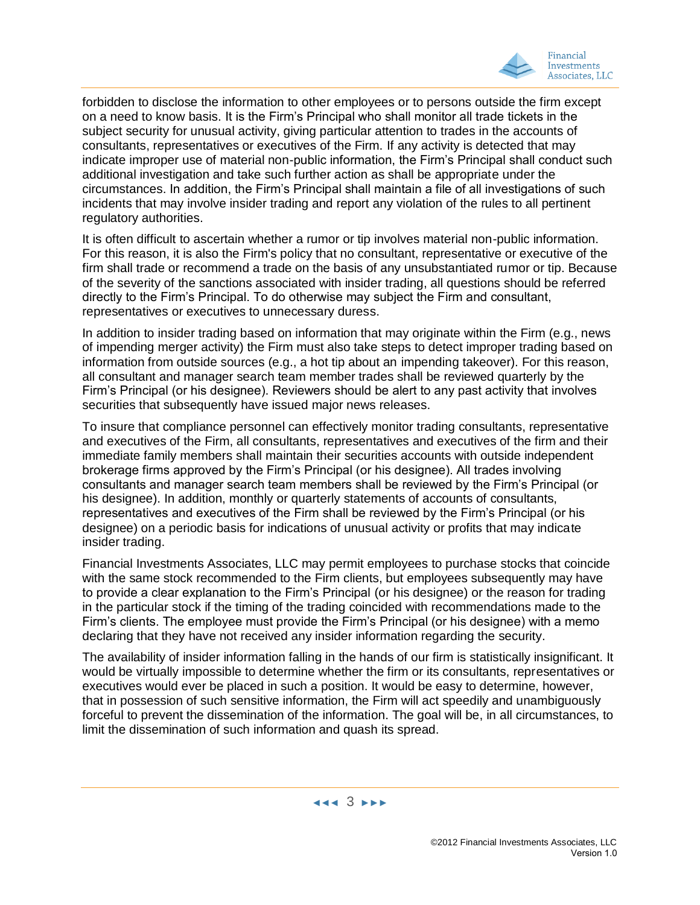

forbidden to disclose the information to other employees or to persons outside the firm except on a need to know basis. It is the Firm's Principal who shall monitor all trade tickets in the subject security for unusual activity, giving particular attention to trades in the accounts of consultants, representatives or executives of the Firm. If any activity is detected that may indicate improper use of material non-public information, the Firm's Principal shall conduct such additional investigation and take such further action as shall be appropriate under the circumstances. In addition, the Firm's Principal shall maintain a file of all investigations of such incidents that may involve insider trading and report any violation of the rules to all pertinent regulatory authorities.

It is often difficult to ascertain whether a rumor or tip involves material non-public information. For this reason, it is also the Firm's policy that no consultant, representative or executive of the firm shall trade or recommend a trade on the basis of any unsubstantiated rumor or tip. Because of the severity of the sanctions associated with insider trading, all questions should be referred directly to the Firm's Principal. To do otherwise may subject the Firm and consultant, representatives or executives to unnecessary duress.

In addition to insider trading based on information that may originate within the Firm (e.g., news of impending merger activity) the Firm must also take steps to detect improper trading based on information from outside sources (e.g., a hot tip about an impending takeover). For this reason, all consultant and manager search team member trades shall be reviewed quarterly by the Firm's Principal (or his designee). Reviewers should be alert to any past activity that involves securities that subsequently have issued major news releases.

To insure that compliance personnel can effectively monitor trading consultants, representative and executives of the Firm, all consultants, representatives and executives of the firm and their immediate family members shall maintain their securities accounts with outside independent brokerage firms approved by the Firm's Principal (or his designee). All trades involving consultants and manager search team members shall be reviewed by the Firm's Principal (or his designee). In addition, monthly or quarterly statements of accounts of consultants, representatives and executives of the Firm shall be reviewed by the Firm's Principal (or his designee) on a periodic basis for indications of unusual activity or profits that may indicate insider trading.

Financial Investments Associates, LLC may permit employees to purchase stocks that coincide with the same stock recommended to the Firm clients, but employees subsequently may have to provide a clear explanation to the Firm's Principal (or his designee) or the reason for trading in the particular stock if the timing of the trading coincided with recommendations made to the Firm's clients. The employee must provide the Firm's Principal (or his designee) with a memo declaring that they have not received any insider information regarding the security.

The availability of insider information falling in the hands of our firm is statistically insignificant. It would be virtually impossible to determine whether the firm or its consultants, representatives or executives would ever be placed in such a position. It would be easy to determine, however, that in possession of such sensitive information, the Firm will act speedily and unambiguously forceful to prevent the dissemination of the information. The goal will be, in all circumstances, to limit the dissemination of such information and quash its spread.